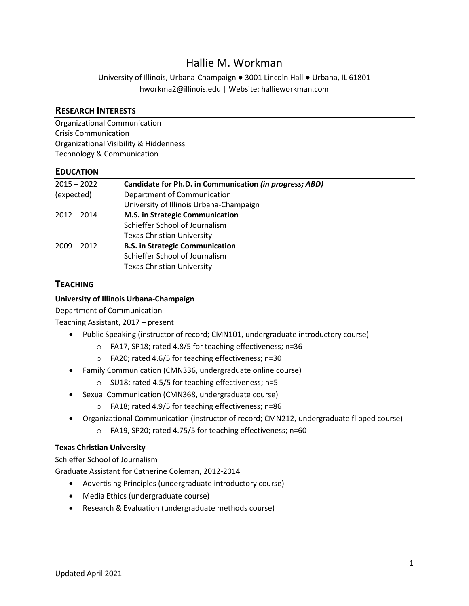# Hallie M. Workman

University of Illinois, Urbana-Champaign ● 3001 Lincoln Hall ● Urbana, IL 61801 hworkma2@illinois.edu | Website: hallieworkman.com

## **RESEARCH INTERESTS**

Organizational Communication Crisis Communication Organizational Visibility & Hiddenness Technology & Communication

## **EDUCATION**

| Candidate for Ph.D. in Communication (in progress; ABD) |
|---------------------------------------------------------|
| Department of Communication                             |
| University of Illinois Urbana-Champaign                 |
| M.S. in Strategic Communication                         |
| Schieffer School of Journalism                          |
| <b>Texas Christian University</b>                       |
| <b>B.S. in Strategic Communication</b>                  |
| Schieffer School of Journalism                          |
| <b>Texas Christian University</b>                       |
|                                                         |

## **TEACHING**

#### **University of Illinois Urbana-Champaign**

Department of Communication

Teaching Assistant, 2017 – present

- Public Speaking (instructor of record; CMN101, undergraduate introductory course)
	- o FA17, SP18; rated 4.8/5 for teaching effectiveness; n=36
	- o FA20; rated 4.6/5 for teaching effectiveness; n=30
- Family Communication (CMN336, undergraduate online course)
	- o SU18; rated 4.5/5 for teaching effectiveness; n=5
- Sexual Communication (CMN368, undergraduate course)
	- o FA18; rated 4.9/5 for teaching effectiveness; n=86
- Organizational Communication (instructor of record; CMN212, undergraduate flipped course)
	- o FA19, SP20; rated 4.75/5 for teaching effectiveness; n=60

#### **Texas Christian University**

Schieffer School of Journalism

Graduate Assistant for Catherine Coleman, 2012-2014

- Advertising Principles (undergraduate introductory course)
- Media Ethics (undergraduate course)
- Research & Evaluation (undergraduate methods course)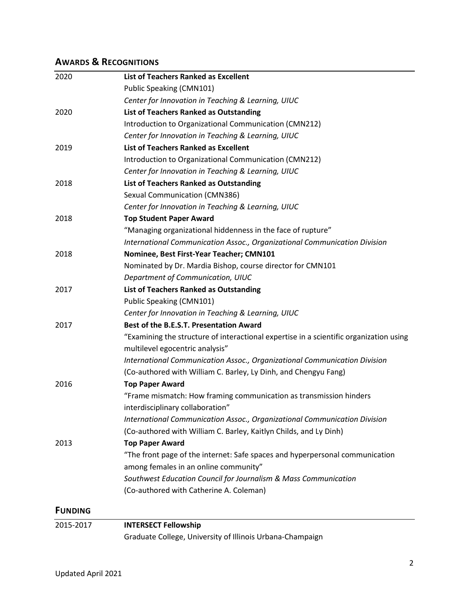## **AWARDS & RECOGNITIONS**

| 2020           | List of Teachers Ranked as Excellent                                                   |
|----------------|----------------------------------------------------------------------------------------|
|                | Public Speaking (CMN101)                                                               |
|                | Center for Innovation in Teaching & Learning, UIUC                                     |
| 2020           | List of Teachers Ranked as Outstanding                                                 |
|                | Introduction to Organizational Communication (CMN212)                                  |
|                | Center for Innovation in Teaching & Learning, UIUC                                     |
| 2019           | <b>List of Teachers Ranked as Excellent</b>                                            |
|                | Introduction to Organizational Communication (CMN212)                                  |
|                | Center for Innovation in Teaching & Learning, UIUC                                     |
| 2018           | List of Teachers Ranked as Outstanding                                                 |
|                | Sexual Communication (CMN386)                                                          |
|                | Center for Innovation in Teaching & Learning, UIUC                                     |
| 2018           | <b>Top Student Paper Award</b>                                                         |
|                | "Managing organizational hiddenness in the face of rupture"                            |
|                | International Communication Assoc., Organizational Communication Division              |
| 2018           | Nominee, Best First-Year Teacher; CMN101                                               |
|                | Nominated by Dr. Mardia Bishop, course director for CMN101                             |
|                | Department of Communication, UIUC                                                      |
| 2017           | List of Teachers Ranked as Outstanding                                                 |
|                | Public Speaking (CMN101)                                                               |
|                | Center for Innovation in Teaching & Learning, UIUC                                     |
| 2017           | Best of the B.E.S.T. Presentation Award                                                |
|                | "Examining the structure of interactional expertise in a scientific organization using |
|                | multilevel egocentric analysis"                                                        |
|                | International Communication Assoc., Organizational Communication Division              |
|                | (Co-authored with William C. Barley, Ly Dinh, and Chengyu Fang)                        |
| 2016           | <b>Top Paper Award</b>                                                                 |
|                | "Frame mismatch: How framing communication as transmission hinders                     |
|                | interdisciplinary collaboration"                                                       |
|                | International Communication Assoc., Organizational Communication Division              |
|                | (Co-authored with William C. Barley, Kaitlyn Childs, and Ly Dinh)                      |
| 2013           | <b>Top Paper Award</b>                                                                 |
|                | "The front page of the internet: Safe spaces and hyperpersonal communication           |
|                | among females in an online community"                                                  |
|                | Southwest Education Council for Journalism & Mass Communication                        |
|                | (Co-authored with Catherine A. Coleman)                                                |
| <b>FUNDING</b> |                                                                                        |
| 2015-2017      | <b>INTERSECT Fellowship</b>                                                            |
|                | Graduate College, University of Illinois Urbana-Champaign                              |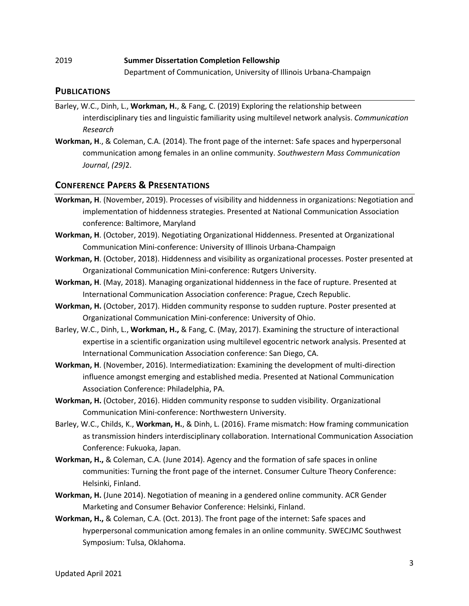2019 **Summer Dissertation Completion Fellowship**

Department of Communication, University of Illinois Urbana-Champaign

#### **PUBLICATIONS**

- Barley, W.C., Dinh, L., **Workman, H.**, & Fang, C. (2019) Exploring the relationship between interdisciplinary ties and linguistic familiarity using multilevel network analysis. *Communication Research*
- **Workman, H**., & Coleman, C.A. (2014). The front page of the internet: Safe spaces and hyperpersonal communication among females in an online community. *Southwestern Mass Communication Journal*, *(29)*2.

### **CONFERENCE PAPERS & PRESENTATIONS**

- **Workman, H**. (November, 2019). Processes of visibility and hiddenness in organizations: Negotiation and implementation of hiddenness strategies. Presented at National Communication Association conference: Baltimore, Maryland
- **Workman, H**. (October, 2019). Negotiating Organizational Hiddenness. Presented at Organizational Communication Mini-conference: University of Illinois Urbana-Champaign
- **Workman, H**. (October, 2018). Hiddenness and visibility as organizational processes. Poster presented at Organizational Communication Mini-conference: Rutgers University.
- **Workman, H**. (May, 2018). Managing organizational hiddenness in the face of rupture. Presented at International Communication Association conference: Prague, Czech Republic.
- **Workman, H.** (October, 2017). Hidden community response to sudden rupture. Poster presented at Organizational Communication Mini-conference: University of Ohio.
- Barley, W.C., Dinh, L., **Workman, H.,** & Fang, C. (May, 2017). Examining the structure of interactional expertise in a scientific organization using multilevel egocentric network analysis. Presented at International Communication Association conference: San Diego, CA.
- **Workman, H**. (November, 2016). Intermediatization: Examining the development of multi-direction influence amongst emerging and established media. Presented at National Communication Association Conference: Philadelphia, PA.
- **Workman, H.** (October, 2016). Hidden community response to sudden visibility. Organizational Communication Mini-conference: Northwestern University.
- Barley, W.C., Childs, K., **Workman, H.**, & Dinh, L. (2016). Frame mismatch: How framing communication as transmission hinders interdisciplinary collaboration. International Communication Association Conference: Fukuoka, Japan.
- **Workman, H.,** & Coleman, C.A. (June 2014). Agency and the formation of safe spaces in online communities: Turning the front page of the internet. Consumer Culture Theory Conference: Helsinki, Finland.
- **Workman, H.** (June 2014). Negotiation of meaning in a gendered online community. ACR Gender Marketing and Consumer Behavior Conference: Helsinki, Finland.
- **Workman, H.,** & Coleman, C.A. (Oct. 2013). The front page of the internet: Safe spaces and hyperpersonal communication among females in an online community. SWECJMC Southwest Symposium: Tulsa, Oklahoma.